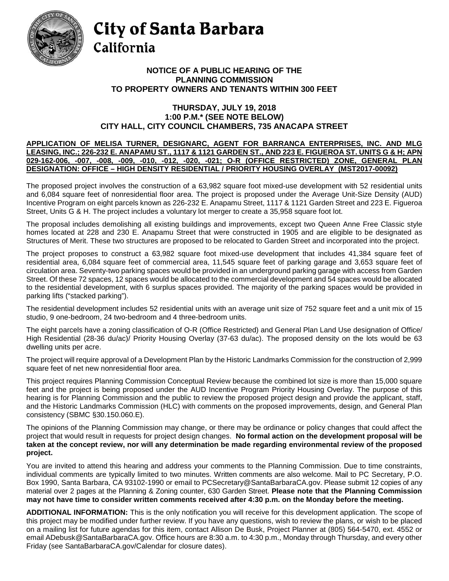

## City of Santa Barbara California

## **NOTICE OF A PUBLIC HEARING OF THE PLANNING COMMISSION TO PROPERTY OWNERS AND TENANTS WITHIN 300 FEET**

## **THURSDAY, JULY 19, 2018 1:00 P.M.\* (SEE NOTE BELOW) CITY HALL, CITY COUNCIL CHAMBERS, 735 ANACAPA STREET**

## **APPLICATION OF MELISA TURNER, DESIGNARC, AGENT FOR BARRANCA ENTERPRISES, INC. AND MLG LEASING, INC.; 226-232 E. ANAPAMU ST., 1117 & 1121 GARDEN ST., AND 223 E. FIGUEROA ST. UNITS G & H; APN 029-162-006, -007, -008, -009, -010, -012, -020, -021; O-R (OFFICE RESTRICTED) ZONE, GENERAL PLAN DESIGNATION: OFFICE – HIGH DENSITY RESIDENTIAL / PRIORITY HOUSING OVERLAY (MST2017-00092)**

The proposed project involves the construction of a 63,982 square foot mixed-use development with 52 residential units and 6,084 square feet of nonresidential floor area. The project is proposed under the Average Unit-Size Density (AUD) Incentive Program on eight parcels known as 226-232 E. Anapamu Street, 1117 & 1121 Garden Street and 223 E. Figueroa Street, Units G & H. The project includes a voluntary lot merger to create a 35,958 square foot lot.

The proposal includes demolishing all existing buildings and improvements, except two Queen Anne Free Classic style homes located at 228 and 230 E. Anapamu Street that were constructed in 1905 and are eligible to be designated as Structures of Merit. These two structures are proposed to be relocated to Garden Street and incorporated into the project.

The project proposes to construct a 63,982 square foot mixed-use development that includes 41,384 square feet of residential area, 6,084 square feet of commercial area, 11,545 square feet of parking garage and 3,653 square feet of circulation area. Seventy-two parking spaces would be provided in an underground parking garage with access from Garden Street. Of these 72 spaces, 12 spaces would be allocated to the commercial development and 54 spaces would be allocated to the residential development, with 6 surplus spaces provided. The majority of the parking spaces would be provided in parking lifts ("stacked parking").

The residential development includes 52 residential units with an average unit size of 752 square feet and a unit mix of 15 studio, 9 one-bedroom, 24 two-bedroom and 4 three-bedroom units.

The eight parcels have a zoning classification of O-R (Office Restricted) and General Plan Land Use designation of Office/ High Residential (28-36 du/ac)/ Priority Housing Overlay (37-63 du/ac). The proposed density on the lots would be 63 dwelling units per acre.

The project will require approval of a Development Plan by the Historic Landmarks Commission for the construction of 2,999 square feet of net new nonresidential floor area.

This project requires Planning Commission Conceptual Review because the combined lot size is more than 15,000 square feet and the project is being proposed under the AUD Incentive Program Priority Housing Overlay. The purpose of this hearing is for Planning Commission and the public to review the proposed project design and provide the applicant, staff, and the Historic Landmarks Commission (HLC) with comments on the proposed improvements, design, and General Plan consistency (SBMC §30.150.060.E).

The opinions of the Planning Commission may change, or there may be ordinance or policy changes that could affect the project that would result in requests for project design changes. **No formal action on the development proposal will be taken at the concept review, nor will any determination be made regarding environmental review of the proposed project.**

You are invited to attend this hearing and address your comments to the Planning Commission. Due to time constraints, individual comments are typically limited to two minutes. Written comments are also welcome. Mail to PC Secretary, P.O. Box 1990, Santa Barbara, CA 93102-1990 or email to [PCSecretary@SantaBarbaraCA.gov.](mailto:PCSecretary@SantaBarbaraCA.gov) Please submit 12 copies of any material over 2 pages at the Planning & Zoning counter, 630 Garden Street. **Please note that the Planning Commission may not have time to consider written comments received after 4:30 p.m. on the Monday before the meeting.**

**ADDITIONAL INFORMATION:** This is the only notification you will receive for this development application. The scope of this project may be modified under further review. If you have any questions, wish to review the plans, or wish to be placed on a mailing list for future agendas for this item, contact Allison De Busk, Project Planner at (805) 564-5470, ext. 4552 or email ADebusk@SantaBarbaraCA.gov. Office hours are 8:30 a.m. to 4:30 p.m., Monday through Thursday, and every other Friday (see [SantaBarbaraCA.gov/Calendar](http://www.santabarbaraca.gov/cals/default.asp) for closure dates).